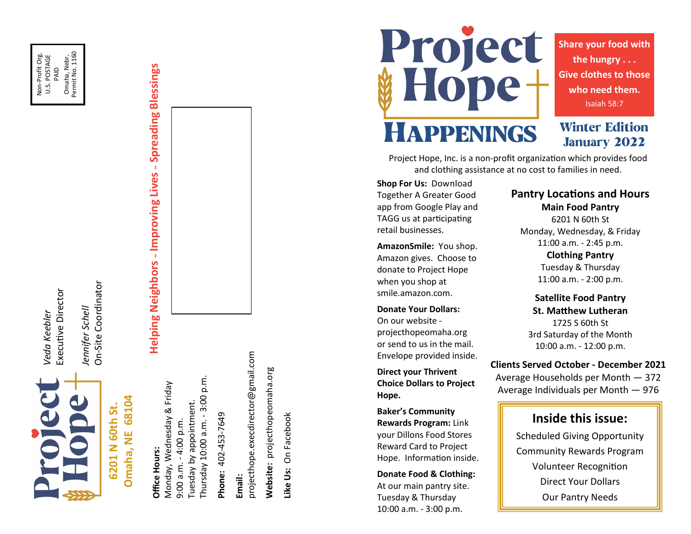Non-Profit Org. Non-Profit Org.<br>U.S. POSTAGE PAID<br>Omaha, Nebr.<br>Permit No. 1160 Omaha, Nebr. Permit No. 1160



*Veda Keebler* Executive Director

Veda Keebler

Executive Director

6201 N 60th St. **6201 N 60th St.**

On-Site Coordinator On-Site Coordinator Jennifer Schell *Jennifer Schell*

# 68104 **Omaha, NE 68104** Omaha, NE

**Helping Neighbors ~ Improving Lives ~ Spreading Blessings**

Helping Neighbors - Improving Lives - Spreading Blessings

Office Hours: **Office Hours:**

p.m. Thursday 10:00 a.m. - 3:00 p.m. Monday, Wednesday & Friday Monday, Wednesday & Friday Thursday 10:00 a.m. - 3:00 Tuesday by appointment. Tuesday by appointment. 9:00 a.m. - 4:00 p.m. 9:00 a.m. - 4:00 p.m.

Phone: 402-453-7649 **Phone:** 402-453-7649 **Email:**<br>projecthope.execdirector@gmail.com projecthope.execdirector@gmail.com Website: projecthopeomaha.org **Website:** projecthopeomaha.org

Like Us: On Facebook **Like Us:** On Facebook Project<br>#Hope+

**Share your food with the hungry . . . Give clothes to those who need them.** Isaiah 58:7

**Winter Edition** 

**January 2022** 

# HAPPENINGS

Project Hope, Inc. is a non-profit organization which provides food and clothing assistance at no cost to families in need.

**Shop For Us:** Download Together A Greater Good app from Google Play and TAGG us at participating retail businesses.

**AmazonSmile:** You shop. Amazon gives. Choose to donate to Project Hope when you shop at smile.amazon.com.

**Donate Your Dollars:** On our website projecthopeomaha.org or send to us in the mail. Envelope provided inside.

**Direct your Thrivent Choice Dollars to Project Hope.**

**Baker 's Community Rewards Program:** Link your Dillons Food Stores Reward Card to Project Hope. Information inside.

**Donate Food & Clothing:**  At our main pantry site. Tuesday & Thursday 10:00 a.m. - 3:00 p.m.

# **Pantry Locations and Hours Main Food Pantry** 6201 N 60th St

Monday, Wednesday, & Friday 11:00 a.m. - 2:45 p.m.

> **Clothing Pantry** Tuesday & Thursday 11:00 a.m. - 2:00 p.m.

**Satellite Food Pantry St. Matthew Lutheran** 1725 S 60th St 3rd Saturday of the Month 10:00 a.m. - 12:00 p.m.

**Clients Served October - December 2021**

Average Households per Month — 372 Average Individuals per Month — 976

### **Inside this issue:**

Scheduled Giving Opportunity Community Rewards Program Volunteer Recognition Direct Your Dollars Our Pantry Needs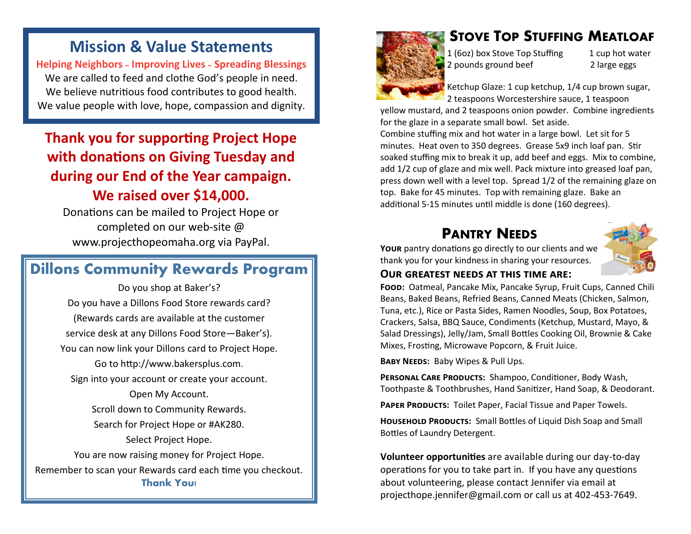# **Mission & Value Statements**

**Helping Neighbors <sup>~</sup> Improving Lives <sup>~</sup> Spreading Blessings** We are called to feed and clothe God's people in need. We believe nutritious food contributes to good health. We value people with love, hope, compassion and dignity.

# **Thank you for supporting Project Hope with donations on Giving Tuesday and during our End of the Year campaign. We raised over \$14,000.**

Donations can be mailed to Project Hope or completed on our web-site @ www.projecthopeomaha.org via PayPal.

# **Dillons Community Rewards Program**

Do you shop at Baker's? Do you have a Dillons Food Store rewards card? (Rewards cards are available at the customer service desk at any Dillons Food Store—Baker's). You can now link your Dillons card to Project Hope. Go to http://www.bakersplus.com. Sign into your account or create your account. Open My Account. Scroll down to Community Rewards. Search for Project Hope or #AK280. Select Project Hope. You are now raising money for Project Hope. Remember to scan your Rewards card each time you checkout. **Thank You!**



# **STOVE TOP STUFFING MEATLOAF**

1 (6oz) box Stove Top Stuffing 1 cup hot water 2 pounds ground beef 2 large eggs

Ketchup Glaze: 1 cup ketchup, 1/4 cup brown sugar, 2 teaspoons Worcestershire sauce, 1 teaspoon

yellow mustard, and 2 teaspoons onion powder. Combine ingredients for the glaze in a separate small bowl. Set aside.

Combine stuffing mix and hot water in a large bowl. Let sit for 5 minutes. Heat oven to 350 degrees. Grease 5x9 inch loaf pan. Stir soaked stuffing mix to break it up, add beef and eggs. Mix to combine, add 1/2 cup of glaze and mix well. Pack mixture into greased loaf pan, press down well with a level top. Spread 1/2 of the remaining glaze on top. Bake for 45 minutes. Top with remaining glaze. Bake an additional 5-15 minutes until middle is done (160 degrees).

# **PANTRY NEEDS**

**Your** pantry donations go directly to our clients and we thank you for your kindness in sharing your resources.



#### **Our greatest needs at this time are:**

**Food:** Oatmeal, Pancake Mix, Pancake Syrup, Fruit Cups, Canned Chili Beans, Baked Beans, Refried Beans, Canned Meats (Chicken, Salmon, Tuna, etc.), Rice or Pasta Sides, Ramen Noodles, Soup, Box Potatoes, Crackers, Salsa, BBQ Sauce, Condiments (Ketchup, Mustard, Mayo, & Salad Dressings), Jelly/Jam, Small Bottles Cooking Oil, Brownie & Cake Mixes, Frosting, Microwave Popcorn, & Fruit Juice.

**Baby Needs:** Baby Wipes & Pull Ups.

PERSONAL CARE PRODUCTS: Shampoo, Conditioner, Body Wash, Toothpaste & Toothbrushes, Hand Sanitizer, Hand Soap, & Deodorant.

PAPER PRODUCTS: Toilet Paper, Facial Tissue and Paper Towels.

**Household Products:** Small Bottles of Liquid Dish Soap and Small Bottles of Laundry Detergent.

**Volunteer opportunities** are available during our day-to-day operations for you to take part in. If you have any questions about volunteering, please contact Jennifer via email at projecthope.jennifer@gmail.com or call us at 402-453-7649.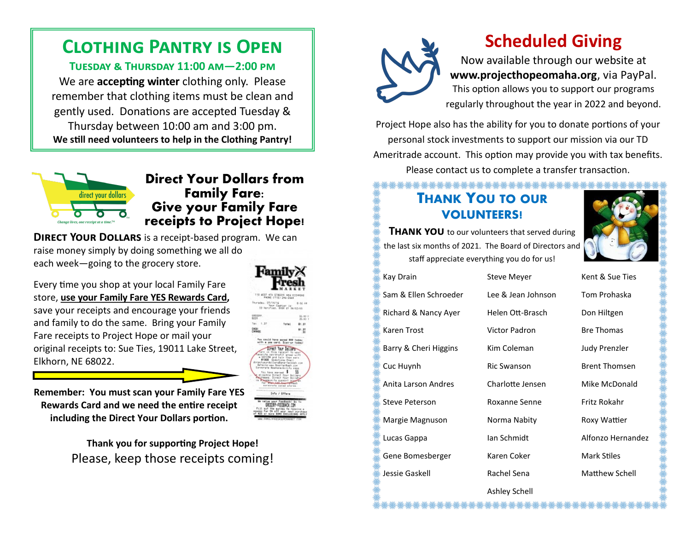# **Clothing Pantry is Open**

**Tuesday & Thursday 11:00 am—2:00 pm** We are **accepting winter** clothing only. Please remember that clothing items must be clean and gently used. Donations are accepted Tuesday & Thursday between 10:00 am and 3:00 pm. **We still need volunteers to help in the Clothing Pantry!**



## **Direct Your Dollars from Family Fare: Give your Family Fare receipts to Project Hope!**

**DIRECT YOUR DOLLARS** is a receipt-based program. We can raise money simply by doing something we all do each week—going to the grocery store.

Every time you shop at your local Family Fare store, **use your Family Fare YES Rewards Card,**  save your receipts and encourage your friends and family to do the same. Bring your Family Fare receipts to Project Hope or mail your original receipts to: Sue Ties, 19011 Lake Street, Elkhorn, NE 68022.

**Remember: You must scan your Family Fare YES Rewards Card and we need the entire receipt including the Direct Your Dollars portion.**

> **Thank you for supporting Project Hope!** Please, keep those receipts coming!





# **Scheduled Giving**

Now available through our website at **www.projecthopeomaha.org**, via PayPal. This option allows you to support our programs regularly throughout the year in 2022 and beyond.

Project Hope also has the ability for you to donate portions of your personal stock investments to support our mission via our TD Ameritrade account. This option may provide you with tax benefits. Please contact us to complete a transfer transaction.

\*\*\*\*\*\*\*\*\*\*\*\*\*\*\*\*

# **THANK YOU TO OUR VOLUNTEERS!**

**THANK YOU** to our volunteers that served during the last six months of 2021. The Board of Directors and staff appreciate everything you do for us!



Kay Drain Steve Meyer Kent & Sue Ties Sam & Ellen Schroeder Lee & Jean Johnson Tom Prohaska Richard & Nancy Ayer Helen Ott-Brasch Don Hiltgen Karen Trost **Victor Padron** Bre Thomas Barry & Cheri Higgins Kim Coleman Judy Prenzler Cuc Huvnh Ric Swanson Brent Thomsen Anita Larson Andres Charlotte Jensen Mike McDonald Steve Peterson Roxanne Senne Fritz Rokahr Margie Magnuson Norma Nabity Roxy Wattier Lucas Gappa Ian Schmidt Alfonzo Hernandez Gene Bomesberger Karen Coker Mark Stiles Jessie Gaskell Rachel Sena Matthew Schell

Ashley Schell

**壀<del>攃攃攃攃獉**嫙攃猭攃貗攃櫀櫀櫀攃櫀攃</del>